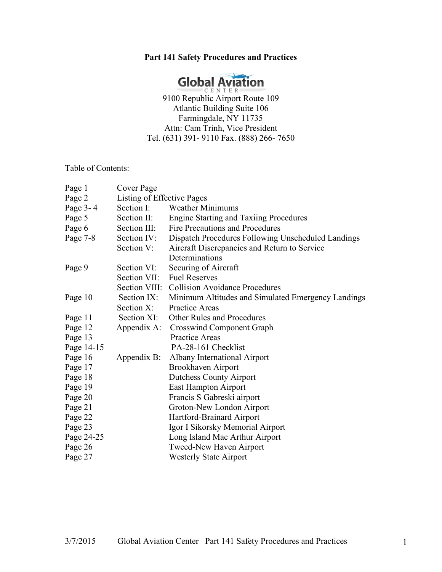# **Part 141 Safety Procedures and Practices**



Atlantic Building Suite 106 Farmingdale, NY 11735 Attn: Cam Trinh, Vice President Tel. (631) 391- 9110 Fax. (888) 266- 7650

Table of Contents:

| Page 1     | Cover Page                 |                                                    |  |
|------------|----------------------------|----------------------------------------------------|--|
| Page 2     | Listing of Effective Pages |                                                    |  |
| Page 3-4   | Section I:                 | <b>Weather Minimums</b>                            |  |
| Page 5     | Section II:                | <b>Engine Starting and Taxiing Procedures</b>      |  |
| Page 6     | Section III:               | Fire Precautions and Procedures                    |  |
| Page 7-8   | Section IV:                | Dispatch Procedures Following Unscheduled Landings |  |
|            | Section V:                 | Aircraft Discrepancies and Return to Service       |  |
|            |                            | Determinations                                     |  |
| Page 9     | Section VI:                | Securing of Aircraft                               |  |
|            | Section VII:               | <b>Fuel Reserves</b>                               |  |
|            | Section VIII:              | <b>Collision Avoidance Procedures</b>              |  |
| Page 10    | Section IX:                | Minimum Altitudes and Simulated Emergency Landings |  |
|            | Section X:                 | Practice Areas                                     |  |
| Page 11    | Section XI:                | <b>Other Rules and Procedures</b>                  |  |
| Page 12    | Appendix A:                | <b>Crosswind Component Graph</b>                   |  |
| Page 13    |                            | Practice Areas                                     |  |
| Page 14-15 |                            | PA-28-161 Checklist                                |  |
| Page 16    | Appendix B:                | Albany International Airport                       |  |
| Page 17    |                            | Brookhaven Airport                                 |  |
| Page 18    |                            | <b>Dutchess County Airport</b>                     |  |
| Page 19    |                            | East Hampton Airport                               |  |
| Page 20    |                            | Francis S Gabreski airport                         |  |
| Page 21    |                            | Groton-New London Airport                          |  |
| Page 22    |                            | Hartford-Brainard Airport                          |  |
| Page 23    |                            | Igor I Sikorsky Memorial Airport                   |  |
| Page 24-25 |                            | Long Island Mac Arthur Airport                     |  |
| Page 26    |                            | Tweed-New Haven Airport                            |  |
| Page 27    |                            | <b>Westerly State Airport</b>                      |  |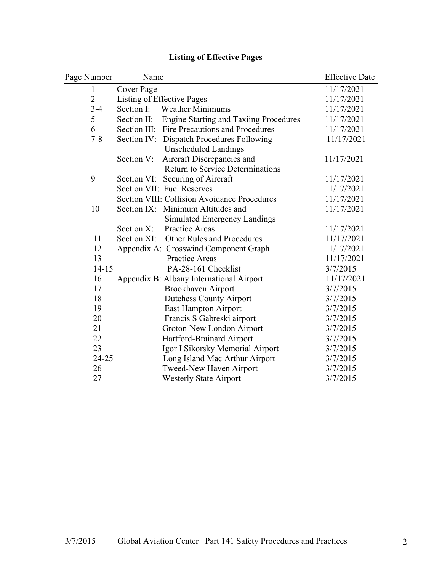| Page Number    | Name                                               | <b>Effective Date</b> |
|----------------|----------------------------------------------------|-----------------------|
| $\mathbf{1}$   | Cover Page                                         | 11/17/2021            |
| $\overline{2}$ | Listing of Effective Pages                         | 11/17/2021            |
| $3 - 4$        | Section I:<br><b>Weather Minimums</b>              | 11/17/2021            |
| 5              | Section II: Engine Starting and Taxiing Procedures | 11/17/2021            |
| 6              | Section III: Fire Precautions and Procedures       | 11/17/2021            |
| $7 - 8$        | Section IV: Dispatch Procedures Following          | 11/17/2021            |
|                | <b>Unscheduled Landings</b>                        |                       |
|                | Section V:<br>Aircraft Discrepancies and           | 11/17/2021            |
|                | <b>Return to Service Determinations</b>            |                       |
| 9              | Section VI: Securing of Aircraft                   | 11/17/2021            |
|                | Section VII: Fuel Reserves                         | 11/17/2021            |
|                | Section VIII: Collision Avoidance Procedures       | 11/17/2021            |
| 10             | Section IX: Minimum Altitudes and                  | 11/17/2021            |
|                | <b>Simulated Emergency Landings</b>                |                       |
|                | Practice Areas<br>Section X:                       | 11/17/2021            |
| 11             | Section XI: Other Rules and Procedures             | 11/17/2021            |
| 12             | Appendix A: Crosswind Component Graph              | 11/17/2021            |
| 13             | <b>Practice Areas</b>                              | 11/17/2021            |
| $14 - 15$      | PA-28-161 Checklist                                | 3/7/2015              |
| 16             | Appendix B: Albany International Airport           | 11/17/2021            |
| 17             | Brookhaven Airport                                 | 3/7/2015              |
| 18             | <b>Dutchess County Airport</b>                     | 3/7/2015              |
| 19             | East Hampton Airport                               | 3/7/2015              |
| 20             | Francis S Gabreski airport                         | 3/7/2015              |
| 21             | Groton-New London Airport                          | 3/7/2015              |
| 22             | Hartford-Brainard Airport                          | 3/7/2015              |
| 23             | Igor I Sikorsky Memorial Airport                   | 3/7/2015              |
| 24-25          | Long Island Mac Arthur Airport                     | 3/7/2015              |
| 26             | Tweed-New Haven Airport                            | 3/7/2015              |
| 27             | <b>Westerly State Airport</b>                      | 3/7/2015              |

# **Listing of Effective Pages**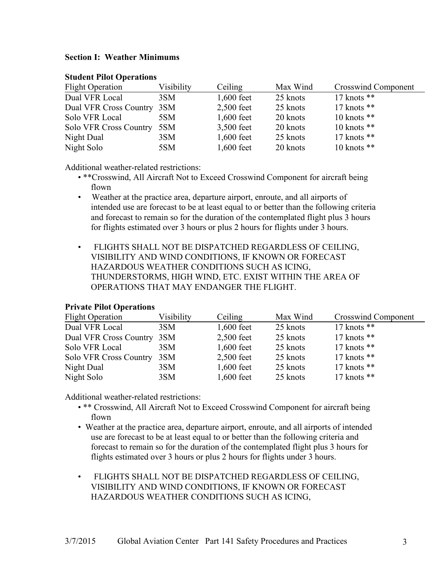#### **Section I: Weather Minimums**

| <b>Flight Operation</b>       | Visibility | Ceiling      | Max Wind | Crosswind Component |
|-------------------------------|------------|--------------|----------|---------------------|
| Dual VFR Local                | 3SM        | $1,600$ feet | 25 knots | 17 knots $**$       |
| Dual VFR Cross Country 3SM    |            | $2,500$ feet | 25 knots | $17$ knots $**$     |
| Solo VFR Local                | 5SM        | $1,600$ feet | 20 knots | 10 knots $**$       |
| <b>Solo VFR Cross Country</b> | 5SM        | 3,500 feet   | 20 knots | 10 knots $**$       |
| Night Dual                    | 3SM        | $1,600$ feet | 25 knots | 17 knots $**$       |
| Night Solo                    | 5SM        | $1,600$ feet | 20 knots | 10 knots $**$       |

#### **Student Pilot Operations**

Additional weather-related restrictions:

- \*\*Crosswind, All Aircraft Not to Exceed Crosswind Component for aircraft being flown
- Weather at the practice area, departure airport, enroute, and all airports of intended use are forecast to be at least equal to or better than the following criteria and forecast to remain so for the duration of the contemplated flight plus 3 hours for flights estimated over 3 hours or plus 2 hours for flights under 3 hours.
- FLIGHTS SHALL NOT BE DISPATCHED REGARDLESS OF CEILING, VISIBILITY AND WIND CONDITIONS, IF KNOWN OR FORECAST HAZARDOUS WEATHER CONDITIONS SUCH AS ICING, THUNDERSTORMS, HIGH WIND, ETC. EXIST WITHIN THE AREA OF OPERATIONS THAT MAY ENDANGER THE FLIGHT.

# **Private Pilot Operations**

| <b>Flight Operation</b>       | Visibility | Ceiling      | Max Wind | <b>Crosswind Component</b> |
|-------------------------------|------------|--------------|----------|----------------------------|
| Dual VFR Local                | 3SM        | $1,600$ feet | 25 knots | 17 knots $**$              |
| Dual VFR Cross Country 3SM    |            | 2,500 feet   | 25 knots | 17 knots $**$              |
| Solo VFR Local                | 3SM        | $1,600$ feet | 25 knots | 17 knots $**$              |
| <b>Solo VFR Cross Country</b> | 3SM        | 2,500 feet   | 25 knots | 17 knots $**$              |
| Night Dual                    | 3SM        | $1,600$ feet | 25 knots | $17$ knots $**$            |
| Night Solo                    | 3SM        | $1,600$ feet | 25 knots | 17 knots $**$              |

Additional weather-related restrictions:

- \*\* Crosswind, All Aircraft Not to Exceed Crosswind Component for aircraft being flown
- Weather at the practice area, departure airport, enroute, and all airports of intended use are forecast to be at least equal to or better than the following criteria and forecast to remain so for the duration of the contemplated flight plus 3 hours for flights estimated over 3 hours or plus 2 hours for flights under 3 hours.
- FLIGHTS SHALL NOT BE DISPATCHED REGARDLESS OF CEILING, VISIBILITY AND WIND CONDITIONS, IF KNOWN OR FORECAST HAZARDOUS WEATHER CONDITIONS SUCH AS ICING,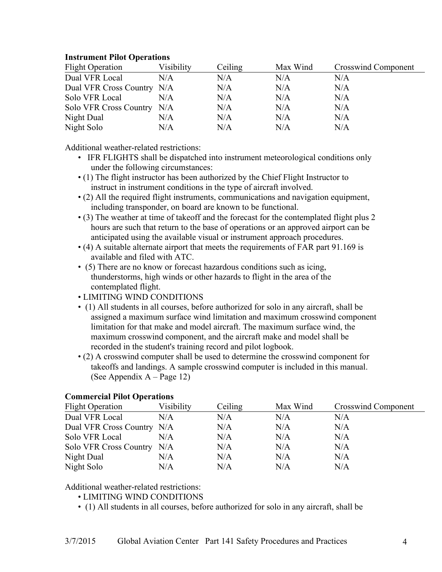# **Instrument Pilot Operations**

| <b>Flight Operation</b>    | Visibility | Ceiling | Max Wind | Crosswind Component |
|----------------------------|------------|---------|----------|---------------------|
| Dual VFR Local             | N/A        | N/A     | N/A      | N/A                 |
| Dual VFR Cross Country N/A |            | N/A     | N/A      | N/A                 |
| Solo VFR Local             | N/A        | N/A     | N/A      | N/A                 |
| Solo VFR Cross Country N/A |            | N/A     | N/A      | N/A                 |
| Night Dual                 | N/A        | N/A     | N/A      | N/A                 |
| Night Solo                 | N/A        | N/A     | N/A      | N/A                 |

Additional weather-related restrictions:

- IFR FLIGHTS shall be dispatched into instrument meteorological conditions only under the following circumstances:
- (1) The flight instructor has been authorized by the Chief Flight Instructor to instruct in instrument conditions in the type of aircraft involved.
- (2) All the required flight instruments, communications and navigation equipment, including transponder, on board are known to be functional.
- (3) The weather at time of takeoff and the forecast for the contemplated flight plus 2 hours are such that return to the base of operations or an approved airport can be anticipated using the available visual or instrument approach procedures.
- (4) A suitable alternate airport that meets the requirements of FAR part 91.169 is available and filed with ATC.
- (5) There are no know or forecast hazardous conditions such as icing, thunderstorms, high winds or other hazards to flight in the area of the contemplated flight.
- LIMITING WIND CONDITIONS
- (1) All students in all courses, before authorized for solo in any aircraft, shall be assigned a maximum surface wind limitation and maximum crosswind component limitation for that make and model aircraft. The maximum surface wind, the maximum crosswind component, and the aircraft make and model shall be recorded in the student's training record and pilot logbook.
- (2) A crosswind computer shall be used to determine the crosswind component for takeoffs and landings. A sample crosswind computer is included in this manual. (See Appendix A – Page 12)

# **Commercial Pilot Operations**

| <b>Flight Operation</b>    | Visibility | Ceiling | Max Wind | Crosswind Component |
|----------------------------|------------|---------|----------|---------------------|
| Dual VFR Local             | N/A        | N/A     | N/A      | N/A                 |
| Dual VFR Cross Country N/A |            | N/A     | N/A      | N/A                 |
| Solo VFR Local             | N/A        | N/A     | N/A      | N/A                 |
| Solo VFR Cross Country N/A |            | N/A     | N/A      | N/A                 |
| Night Dual                 | N/A        | N/A     | N/A      | N/A                 |
| Night Solo                 | N/A        | N/A     | N/A      | N/A                 |

Additional weather-related restrictions:

- LIMITING WIND CONDITIONS
- (1) All students in all courses, before authorized for solo in any aircraft, shall be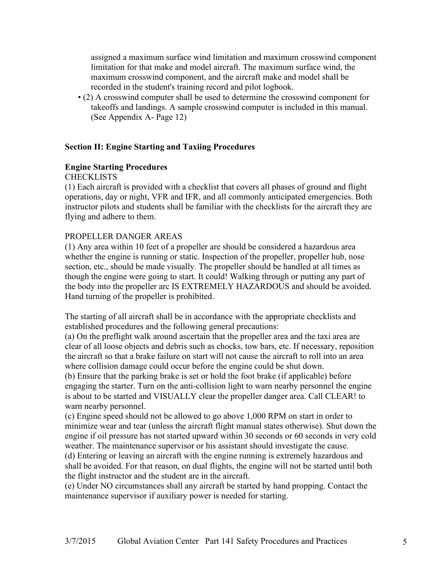assigned a maximum surface wind limitation and maximum crosswind component limitation for that make and model aircraft. The maximum surface wind, the maximum crosswind component, and the aircraft make and model shall be recorded in the student's training record and pilot logbook.

• (2) A crosswind computer shall be used to determine the crosswind component for takeoffs and landings. A sample crosswind computer is included in this manual. (See Appendix A- Page 12)

# **Section II: Engine Starting and Taxiing Procedures**

# **Engine Starting Procedures**

**CHECKLISTS** 

(1) Each aircraft is provided with a checklist that covers all phases of ground and flight operations, day or night, VFR and IFR, and all commonly anticipated emergencies. Both instructor pilots and students shall be familiar with the checklists for the aircraft they are flying and adhere to them.

# PROPELLER DANGER AREAS

(1) Any area within 10 feet of a propeller are should be considered a hazardous area whether the engine is running or static. Inspection of the propeller, propeller hub, nose section, etc., should be made visually. The propeller should be handled at all times as though the engine were going to start. It could! Walking through or putting any part of the body into the propeller arc IS EXTREMELY HAZARDOUS and should be avoided. Hand turning of the propeller is prohibited.

The starting of all aircraft shall be in accordance with the appropriate checklists and established procedures and the following general precautions:

(a) On the preflight walk around ascertain that the propeller area and the taxi area are clear of all loose objects and debris such as chocks, tow bars, etc. If necessary, reposition the aircraft so that a brake failure on start will not cause the aircraft to roll into an area where collision damage could occur before the engine could be shut down.

(b) Ensure that the parking brake is set or hold the foot brake (if applicable) before engaging the starter. Turn on the anti-collision light to warn nearby personnel the engine is about to be started and VISUALLY clear the propeller danger area. Call CLEAR! to warn nearby personnel.

(c) Engine speed should not be allowed to go above 1,000 RPM on start in order to minimize wear and tear (unless the aircraft flight manual states otherwise). Shut down the engine if oil pressure has not started upward within 30 seconds or 60 seconds in very cold weather. The maintenance supervisor or his assistant should investigate the cause.

(d) Entering or leaving an aircraft with the engine running is extremely hazardous and shall be avoided. For that reason, on dual flights, the engine will not be started until both the flight instructor and the student are in the aircraft.

(e) Under NO circumstances shall any aircraft be started by hand propping. Contact the maintenance supervisor if auxiliary power is needed for starting.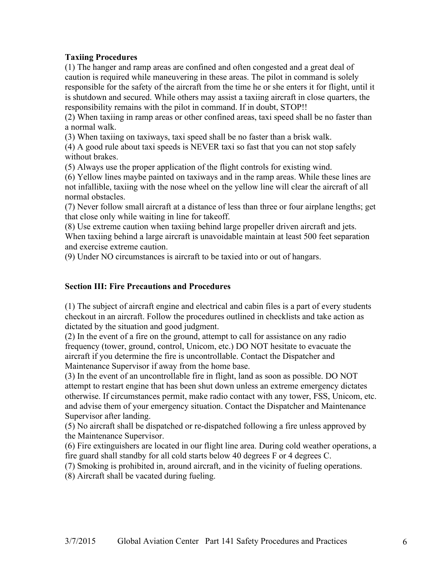# **Taxiing Procedures**

(1) The hanger and ramp areas are confined and often congested and a great deal of caution is required while maneuvering in these areas. The pilot in command is solely responsible for the safety of the aircraft from the time he or she enters it for flight, until it is shutdown and secured. While others may assist a taxiing aircraft in close quarters, the responsibility remains with the pilot in command. If in doubt, STOP!!

(2) When taxiing in ramp areas or other confined areas, taxi speed shall be no faster than a normal walk.

(3) When taxiing on taxiways, taxi speed shall be no faster than a brisk walk.

(4) A good rule about taxi speeds is NEVER taxi so fast that you can not stop safely without brakes.

(5) Always use the proper application of the flight controls for existing wind.

(6) Yellow lines maybe painted on taxiways and in the ramp areas. While these lines are not infallible, taxiing with the nose wheel on the yellow line will clear the aircraft of all normal obstacles.

(7) Never follow small aircraft at a distance of less than three or four airplane lengths; get that close only while waiting in line for takeoff.

(8) Use extreme caution when taxiing behind large propeller driven aircraft and jets. When taxiing behind a large aircraft is unavoidable maintain at least 500 feet separation and exercise extreme caution.

(9) Under NO circumstances is aircraft to be taxied into or out of hangars.

# **Section III: Fire Precautions and Procedures**

(1) The subject of aircraft engine and electrical and cabin files is a part of every students checkout in an aircraft. Follow the procedures outlined in checklists and take action as dictated by the situation and good judgment.

(2) In the event of a fire on the ground, attempt to call for assistance on any radio frequency (tower, ground, control, Unicom, etc.) DO NOT hesitate to evacuate the aircraft if you determine the fire is uncontrollable. Contact the Dispatcher and Maintenance Supervisor if away from the home base.

(3) In the event of an uncontrollable fire in flight, land as soon as possible. DO NOT attempt to restart engine that has been shut down unless an extreme emergency dictates otherwise. If circumstances permit, make radio contact with any tower, FSS, Unicom, etc. and advise them of your emergency situation. Contact the Dispatcher and Maintenance Supervisor after landing.

(5) No aircraft shall be dispatched or re-dispatched following a fire unless approved by the Maintenance Supervisor.

(6) Fire extinguishers are located in our flight line area. During cold weather operations, a fire guard shall standby for all cold starts below 40 degrees F or 4 degrees C.

(7) Smoking is prohibited in, around aircraft, and in the vicinity of fueling operations.

(8) Aircraft shall be vacated during fueling.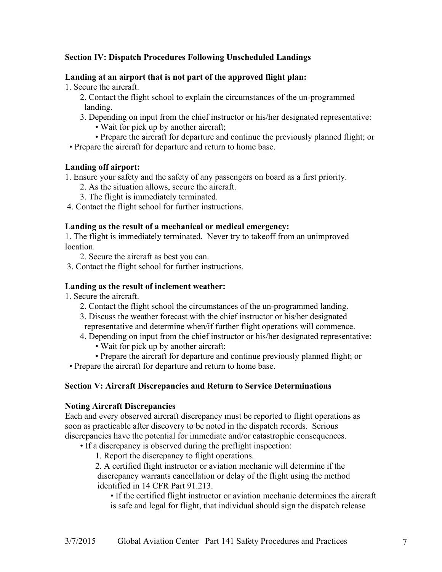# **Section IV: Dispatch Procedures Following Unscheduled Landings**

#### **Landing at an airport that is not part of the approved flight plan:**

1. Secure the aircraft.

- 2. Contact the flight school to explain the circumstances of the un-programmed landing.
- 3. Depending on input from the chief instructor or his/her designated representative:
	- Wait for pick up by another aircraft;
- Prepare the aircraft for departure and continue the previously planned flight; or
- Prepare the aircraft for departure and return to home base.

#### **Landing off airport:**

1. Ensure your safety and the safety of any passengers on board as a first priority.

- 2. As the situation allows, secure the aircraft.
- 3. The flight is immediately terminated.
- 4. Contact the flight school for further instructions.

#### **Landing as the result of a mechanical or medical emergency:**

1. The flight is immediately terminated. Never try to takeoff from an unimproved location.

- 2. Secure the aircraft as best you can.
- 3. Contact the flight school for further instructions.

#### **Landing as the result of inclement weather:**

1. Secure the aircraft.

- 2. Contact the flight school the circumstances of the un-programmed landing.
- 3. Discuss the weather forecast with the chief instructor or his/her designated
- representative and determine when/if further flight operations will commence.
- 4. Depending on input from the chief instructor or his/her designated representative:
	- Wait for pick up by another aircraft;
- Prepare the aircraft for departure and continue previously planned flight; or

• Prepare the aircraft for departure and return to home base.

# **Section V: Aircraft Discrepancies and Return to Service Determinations**

#### **Noting Aircraft Discrepancies**

Each and every observed aircraft discrepancy must be reported to flight operations as soon as practicable after discovery to be noted in the dispatch records. Serious discrepancies have the potential for immediate and/or catastrophic consequences.

• If a discrepancy is observed during the preflight inspection:

1. Report the discrepancy to flight operations.

 2. A certified flight instructor or aviation mechanic will determine if the discrepancy warrants cancellation or delay of the flight using the method identified in 14 CFR Part 91.213.

 • If the certified flight instructor or aviation mechanic determines the aircraft is safe and legal for flight, that individual should sign the dispatch release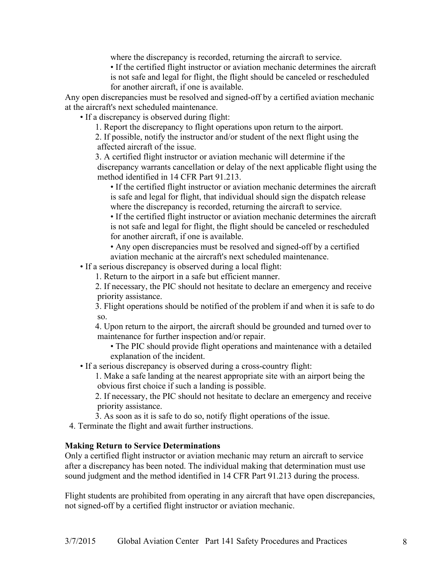where the discrepancy is recorded, returning the aircraft to service.

 • If the certified flight instructor or aviation mechanic determines the aircraft is not safe and legal for flight, the flight should be canceled or rescheduled for another aircraft, if one is available.

Any open discrepancies must be resolved and signed-off by a certified aviation mechanic at the aircraft's next scheduled maintenance.

• If a discrepancy is observed during flight:

1. Report the discrepancy to flight operations upon return to the airport.

 2. If possible, notify the instructor and/or student of the next flight using the affected aircraft of the issue.

 3. A certified flight instructor or aviation mechanic will determine if the discrepancy warrants cancellation or delay of the next applicable flight using the method identified in 14 CFR Part 91.213.

 • If the certified flight instructor or aviation mechanic determines the aircraft is safe and legal for flight, that individual should sign the dispatch release where the discrepancy is recorded, returning the aircraft to service.

 • If the certified flight instructor or aviation mechanic determines the aircraft is not safe and legal for flight, the flight should be canceled or rescheduled for another aircraft, if one is available.

 • Any open discrepancies must be resolved and signed-off by a certified aviation mechanic at the aircraft's next scheduled maintenance.

• If a serious discrepancy is observed during a local flight:

1. Return to the airport in a safe but efficient manner.

 2. If necessary, the PIC should not hesitate to declare an emergency and receive priority assistance.

 3. Flight operations should be notified of the problem if and when it is safe to do so.

 4. Upon return to the airport, the aircraft should be grounded and turned over to maintenance for further inspection and/or repair.

 • The PIC should provide flight operations and maintenance with a detailed explanation of the incident.

• If a serious discrepancy is observed during a cross-country flight:

 1. Make a safe landing at the nearest appropriate site with an airport being the obvious first choice if such a landing is possible.

 2. If necessary, the PIC should not hesitate to declare an emergency and receive priority assistance.

3. As soon as it is safe to do so, notify flight operations of the issue.

4. Terminate the flight and await further instructions.

# **Making Return to Service Determinations**

Only a certified flight instructor or aviation mechanic may return an aircraft to service after a discrepancy has been noted. The individual making that determination must use sound judgment and the method identified in 14 CFR Part 91.213 during the process.

Flight students are prohibited from operating in any aircraft that have open discrepancies, not signed-off by a certified flight instructor or aviation mechanic.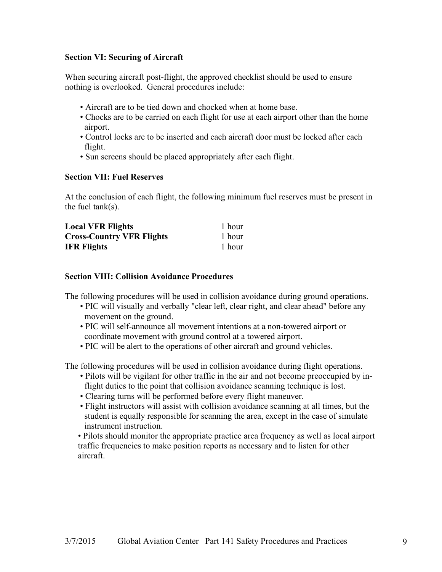# **Section VI: Securing of Aircraft**

When securing aircraft post-flight, the approved checklist should be used to ensure nothing is overlooked. General procedures include:

- Aircraft are to be tied down and chocked when at home base.
- Chocks are to be carried on each flight for use at each airport other than the home airport.
- Control locks are to be inserted and each aircraft door must be locked after each flight.
- Sun screens should be placed appropriately after each flight.

# **Section VII: Fuel Reserves**

At the conclusion of each flight, the following minimum fuel reserves must be present in the fuel tank(s).

| <b>Local VFR Flights</b>         | 1 hour |
|----------------------------------|--------|
| <b>Cross-Country VFR Flights</b> | 1 hour |
| <b>IFR Flights</b>               | 1 hour |

# **Section VIII: Collision Avoidance Procedures**

The following procedures will be used in collision avoidance during ground operations.

- PIC will visually and verbally "clear left, clear right, and clear ahead" before any movement on the ground.
- PIC will self-announce all movement intentions at a non-towered airport or coordinate movement with ground control at a towered airport.
- PIC will be alert to the operations of other aircraft and ground vehicles.

The following procedures will be used in collision avoidance during flight operations.

- Pilots will be vigilant for other traffic in the air and not become preoccupied by inflight duties to the point that collision avoidance scanning technique is lost.
- Clearing turns will be performed before every flight maneuver.
- Flight instructors will assist with collision avoidance scanning at all times, but the student is equally responsible for scanning the area, except in the case of simulate instrument instruction.

• Pilots should monitor the appropriate practice area frequency as well as local airport traffic frequencies to make position reports as necessary and to listen for other aircraft.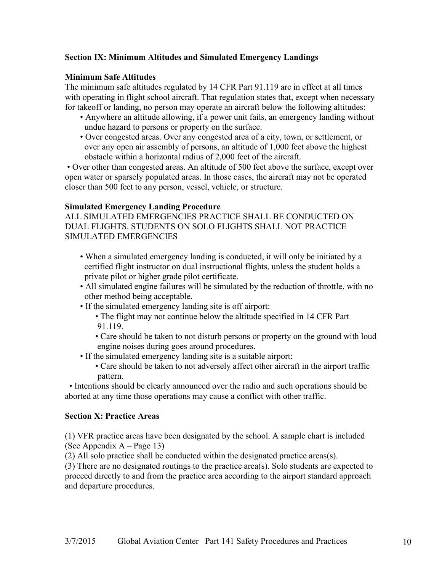# **Section IX: Minimum Altitudes and Simulated Emergency Landings**

# **Minimum Safe Altitudes**

The minimum safe altitudes regulated by 14 CFR Part 91.119 are in effect at all times with operating in flight school aircraft. That regulation states that, except when necessary for takeoff or landing, no person may operate an aircraft below the following altitudes:

- Anywhere an altitude allowing, if a power unit fails, an emergency landing without undue hazard to persons or property on the surface.
- Over congested areas. Over any congested area of a city, town, or settlement, or over any open air assembly of persons, an altitude of 1,000 feet above the highest obstacle within a horizontal radius of 2,000 feet of the aircraft.

• Over other than congested areas. An altitude of 500 feet above the surface, except over open water or sparsely populated areas. In those cases, the aircraft may not be operated closer than 500 feet to any person, vessel, vehicle, or structure.

#### **Simulated Emergency Landing Procedure**

ALL SIMULATED EMERGENCIES PRACTICE SHALL BE CONDUCTED ON DUAL FLIGHTS. STUDENTS ON SOLO FLIGHTS SHALL NOT PRACTICE SIMULATED EMERGENCIES

- When a simulated emergency landing is conducted, it will only be initiated by a certified flight instructor on dual instructional flights, unless the student holds a private pilot or higher grade pilot certificate.
- All simulated engine failures will be simulated by the reduction of throttle, with no other method being acceptable.
- If the simulated emergency landing site is off airport:
	- The flight may not continue below the altitude specified in 14 CFR Part 91.119.
	- Care should be taken to not disturb persons or property on the ground with loud engine noises during goes around procedures.
- If the simulated emergency landing site is a suitable airport:
	- Care should be taken to not adversely affect other aircraft in the airport traffic pattern.

 • Intentions should be clearly announced over the radio and such operations should be aborted at any time those operations may cause a conflict with other traffic.

#### **Section X: Practice Areas**

(1) VFR practice areas have been designated by the school. A sample chart is included (See Appendix A – Page 13)

(2) All solo practice shall be conducted within the designated practice areas(s).

(3) There are no designated routings to the practice area(s). Solo students are expected to proceed directly to and from the practice area according to the airport standard approach and departure procedures.